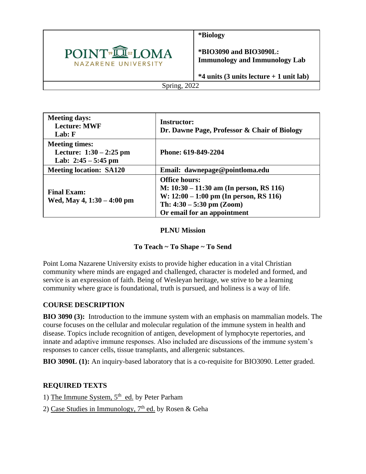

**\*Biology**

**\*BIO3090 and BIO3090L: Immunology and Immunology Lab**

**\*4 units (3 units lecture + 1 unit lab)**

Spring, 2022

| <b>Meeting days:</b><br><b>Lecture: MWF</b><br>Lab: F                       | <b>Instructor:</b><br>Dr. Dawne Page, Professor & Chair of Biology                                                                                                          |
|-----------------------------------------------------------------------------|-----------------------------------------------------------------------------------------------------------------------------------------------------------------------------|
| <b>Meeting times:</b><br>Lecture: $1:30 - 2:25$ pm<br>Lab: $2:45 - 5:45$ pm | Phone: 619-849-2204                                                                                                                                                         |
| <b>Meeting location: SA120</b>                                              | Email: dawnepage@pointloma.edu                                                                                                                                              |
| <b>Final Exam:</b><br>Wed, May 4, $1:30 - 4:00$ pm                          | <b>Office hours:</b><br>M: $10:30 - 11:30$ am (In person, RS 116)<br>W: $12:00 - 1:00$ pm (In person, RS 116)<br>Th: $4:30 - 5:30$ pm (Zoom)<br>Or email for an appointment |

## **PLNU Mission**

# **To Teach ~ To Shape ~ To Send**

Point Loma Nazarene University exists to provide higher education in a vital Christian community where minds are engaged and challenged, character is modeled and formed, and service is an expression of faith. Being of Wesleyan heritage, we strive to be a learning community where grace is foundational, truth is pursued, and holiness is a way of life.

# **COURSE DESCRIPTION**

**BIO 3090 (3):** Introduction to the immune system with an emphasis on mammalian models. The course focuses on the cellular and molecular regulation of the immune system in health and disease. Topics include recognition of antigen, development of lymphocyte repertories, and innate and adaptive immune responses. Also included are discussions of the immune system's responses to cancer cells, tissue transplants, and allergenic substances.

**BIO 3090L (1):** An inquiry-based laboratory that is a co-requisite for BIO3090. Letter graded.

# **REQUIRED TEXTS**

1) The Immune System, 5<sup>th</sup> ed. by Peter Parham

2) Case Studies in Immunology, 7<sup>th</sup> ed. by Rosen & Geha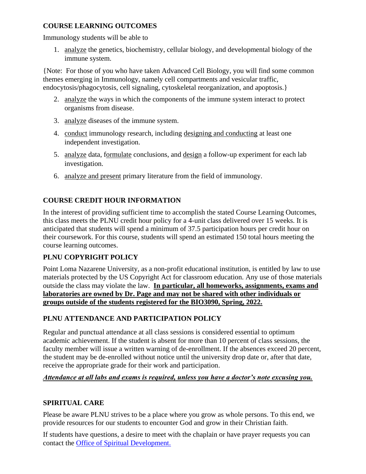### **COURSE LEARNING OUTCOMES**

Immunology students will be able to

1. analyze the genetics, biochemistry, cellular biology, and developmental biology of the immune system.

{Note: For those of you who have taken Advanced Cell Biology, you will find some common themes emerging in Immunology, namely cell compartments and vesicular traffic, endocytosis/phagocytosis, cell signaling, cytoskeletal reorganization, and apoptosis.}

- 2. analyze the ways in which the components of the immune system interact to protect organisms from disease.
- 3. analyze diseases of the immune system.
- 4. conduct immunology research, including designing and conducting at least one independent investigation.
- 5. analyze data, formulate conclusions, and design a follow-up experiment for each lab investigation.
- 6. analyze and present primary literature from the field of immunology.

# **COURSE CREDIT HOUR INFORMATION**

In the interest of providing sufficient time to accomplish the stated Course Learning Outcomes, this class meets the PLNU credit hour policy for a 4-unit class delivered over 15 weeks. It is anticipated that students will spend a minimum of 37.5 participation hours per credit hour on their coursework. For this course, students will spend an estimated 150 total hours meeting the course learning outcomes.

# **PLNU COPYRIGHT POLICY**

Point Loma Nazarene University, as a non-profit educational institution, is entitled by law to use materials protected by the US Copyright Act for classroom education. Any use of those materials outside the class may violate the law. **In particular, all homeworks, assignments, exams and laboratories are owned by Dr. Page and may not be shared with other individuals or groups outside of the students registered for the BIO3090, Spring, 2022.** 

### **PLNU ATTENDANCE AND PARTICIPATION POLICY**

Regular and punctual attendance at all class sessions is considered essential to optimum academic achievement. If the student is absent for more than 10 percent of class sessions, the faculty member will issue a written warning of de-enrollment. If the absences exceed 20 percent, the student may be de-enrolled without notice until the university drop date or, after that date, receive the appropriate grade for their work and participation.

### *Attendance at all labs and exams is required, unless you have a doctor's note excusing you.*

### **SPIRITUAL CARE**

Please be aware PLNU strives to be a place where you grow as whole persons. To this end, we provide resources for our students to encounter God and grow in their Christian faith.

If students have questions, a desire to meet with the chaplain or have prayer requests you can contact the Office of Spiritual Development.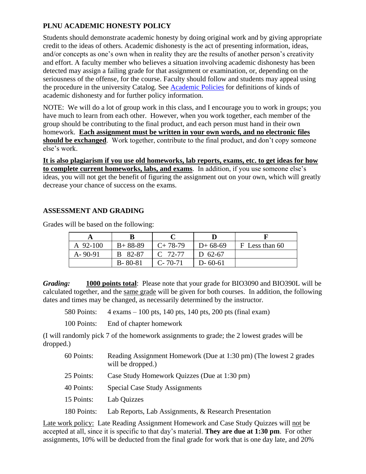# **PLNU ACADEMIC HONESTY POLICY**

Students should demonstrate academic honesty by doing original work and by giving appropriate credit to the ideas of others. Academic dishonesty is the act of presenting information, ideas, and/or concepts as one's own when in reality they are the results of another person's creativity and effort. A faculty member who believes a situation involving academic dishonesty has been detected may assign a failing grade for that assignment or examination, or, depending on the seriousness of the offense, for the course. Faculty should follow and students may appeal using the procedure in the university Catalog. See [Academic Policies](https://catalog.pointloma.edu/content.php?catoid=52&navoid=2919#Academic_Honesty) for definitions of kinds of academic dishonesty and for further policy information.

NOTE: We will do a lot of group work in this class, and I encourage you to work in groups; you have much to learn from each other. However, when you work together, each member of the group should be contributing to the final product, and each person must hand in their own homework. **Each assignment must be written in your own words, and no electronic files should be exchanged**. Work together, contribute to the final product, and don't copy someone else's work.

**It is also plagiarism if you use old homeworks, lab reports, exams, etc. to get ideas for how to complete current homeworks, labs, and exams**. In addition, if you use someone else's ideas, you will not get the benefit of figuring the assignment out on your own, which will greatly decrease your chance of success on the exams.

## **ASSESSMENT AND GRADING**

Grades will be based on the following:

| A 92-100      | $B+88-89$     | $C+78-79$     | $D+68-69$     | F Less than 60 |
|---------------|---------------|---------------|---------------|----------------|
| $A - 90 - 91$ | B 82-87       | $C$ 72-77     | D $62-67$     |                |
|               | $B - 80 - 81$ | $C - 70 - 71$ | $D - 60 - 61$ |                |

*Grading:* **1000 points total**: Please note that your grade for BIO3090 and BIO390L will be calculated together, and the same grade will be given for both courses. In addition, the following dates and times may be changed, as necessarily determined by the instructor.

580 Points: 4 exams – 100 pts, 140 pts, 140 pts, 200 pts (final exam)

100 Points: End of chapter homework

(I will randomly pick 7 of the homework assignments to grade; the 2 lowest grades will be dropped.)

| 60 Points:  | Reading Assignment Homework (Due at 1:30 pm) (The lowest 2 grades<br>will be dropped.) |
|-------------|----------------------------------------------------------------------------------------|
| 25 Points:  | Case Study Homework Quizzes (Due at 1:30 pm)                                           |
| 40 Points:  | Special Case Study Assignments                                                         |
| 15 Points:  | Lab Quizzes                                                                            |
| 180 Points: | Lab Reports, Lab Assignments, & Research Presentation                                  |

Late work policy: Late Reading Assignment Homework and Case Study Quizzes will not be accepted at all, since it is specific to that day's material. **They are due at 1:30 pm**. For other assignments, 10% will be deducted from the final grade for work that is one day late, and 20%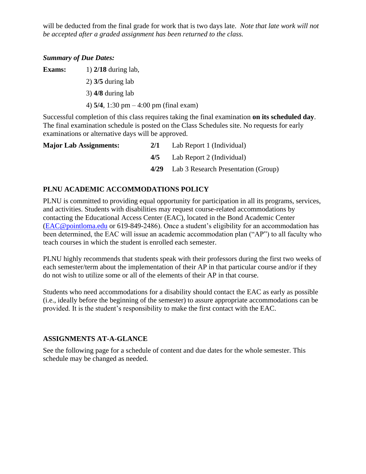will be deducted from the final grade for work that is two days late. *Note that late work will not be accepted after a graded assignment has been returned to the class.*

#### *Summary of Due Dates:*

**Exams:** 1) **2/18** during lab, 2) **3/5** during lab 3) **4/8** during lab 4) **5/4**, 1:30 pm – 4:00 pm (final exam)

Successful completion of this class requires taking the final examination **on its scheduled day**. The final examination schedule is posted on the Class Schedules site. No requests for early examinations or alternative days will be approved.

| <b>Major Lab Assignments:</b> | 2/1  | Lab Report 1 (Individual)           |
|-------------------------------|------|-------------------------------------|
|                               | 4/5  | Lab Report 2 (Individual)           |
|                               | 4/29 | Lab 3 Research Presentation (Group) |

#### **PLNU ACADEMIC ACCOMMODATIONS POLICY**

PLNU is committed to providing equal opportunity for participation in all its programs, services, and activities. Students with disabilities may request course-related accommodations by contacting the Educational Access Center (EAC), located in the Bond Academic Center [\(EAC@pointloma.edu](mailto:EAC@pointloma.edu) or 619-849-2486). Once a student's eligibility for an accommodation has been determined, the EAC will issue an academic accommodation plan ("AP") to all faculty who teach courses in which the student is enrolled each semester.

PLNU highly recommends that students speak with their professors during the first two weeks of each semester/term about the implementation of their AP in that particular course and/or if they do not wish to utilize some or all of the elements of their AP in that course.

Students who need accommodations for a disability should contact the EAC as early as possible (i.e., ideally before the beginning of the semester) to assure appropriate accommodations can be provided. It is the student's responsibility to make the first contact with the EAC.

#### **ASSIGNMENTS AT-A-GLANCE**

See the following page for a schedule of content and due dates for the whole semester. This schedule may be changed as needed.